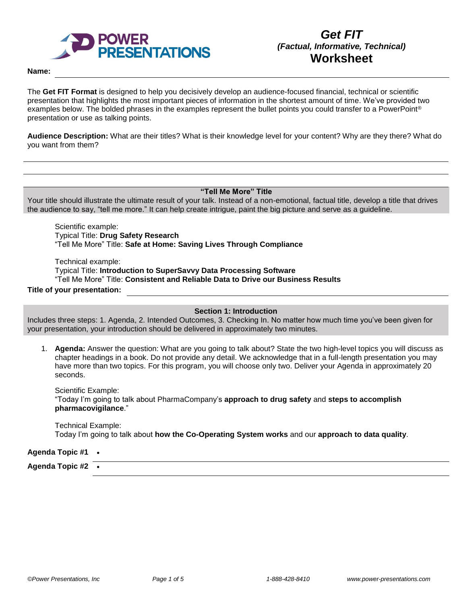

#### **Name:**

The **Get FIT Format** is designed to help you decisively develop an audience-focused financial, technical or scientific presentation that highlights the most important pieces of information in the shortest amount of time. We've provided two examples below. The bolded phrases in the examples represent the bullet points you could transfer to a PowerPoint® presentation or use as talking points.

**Audience Description:** What are their titles? What is their knowledge level for your content? Why are they there? What do you want from them?

#### **"Tell Me More" Title**

Your title should illustrate the ultimate result of your talk. Instead of a non-emotional, factual title, develop a title that drives the audience to say, "tell me more." It can help create intrigue, paint the big picture and serve as a guideline.

Scientific example: Typical Title: **Drug Safety Research** "Tell Me More" Title: **Safe at Home: Saving Lives Through Compliance**

Technical example: Typical Title: **Introduction to SuperSavvy Data Processing Software** "Tell Me More" Title: **Consistent and Reliable Data to Drive our Business Results**

## **Title of your presentation:**

**Section 1: Introduction**

Includes three steps: 1. Agenda, 2. Intended Outcomes, 3. Checking In. No matter how much time you've been given for your presentation, your introduction should be delivered in approximately two minutes.

1. **Agenda:** Answer the question: What are you going to talk about? State the two high-level topics you will discuss as chapter headings in a book. Do not provide any detail. We acknowledge that in a full-length presentation you may have more than two topics. For this program, you will choose only two. Deliver your Agenda in approximately 20 seconds.

Scientific Example: "Today I'm going to talk about PharmaCompany's **approach to drug safety** and **steps to accomplish pharmacovigilance**."

Technical Example: Today I'm going to talk about **how the Co-Operating System works** and our **approach to data quality**.

**Agenda Topic #1** •

**Agenda Topic #2** •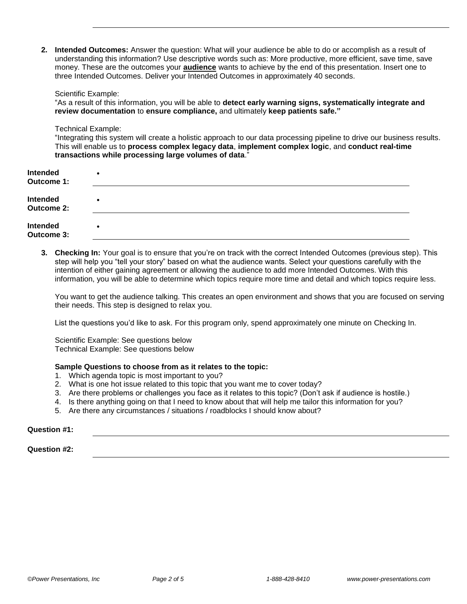**2. Intended Outcomes:** Answer the question: What will your audience be able to do or accomplish as a result of understanding this information? Use descriptive words such as: More productive, more efficient, save time, save money. These are the outcomes your **audience** wants to achieve by the end of this presentation. Insert one to three Intended Outcomes. Deliver your Intended Outcomes in approximately 40 seconds.

#### Scientific Example:

"As a result of this information, you will be able to **detect early warning signs, systematically integrate and review documentation** to **ensure compliance,** and ultimately **keep patients safe."**

#### Technical Example:

"Integrating this system will create a holistic approach to our data processing pipeline to drive our business results. This will enable us to **process complex legacy data**, **implement complex logic**, and **conduct real-time transactions while processing large volumes of data**."

| Intended<br>Outcome 1:        | $\bullet$ |
|-------------------------------|-----------|
| Intended<br><b>Outcome 2:</b> | ٠         |
| Intended<br>Outcome 3:        | ٠         |

**3. Checking In:** Your goal is to ensure that you're on track with the correct Intended Outcomes (previous step). This step will help you "tell your story" based on what the audience wants. Select your questions carefully with the intention of either gaining agreement or allowing the audience to add more Intended Outcomes. With this information, you will be able to determine which topics require more time and detail and which topics require less.

You want to get the audience talking. This creates an open environment and shows that you are focused on serving their needs. This step is designed to relax you.

List the questions you'd like to ask. For this program only, spend approximately one minute on Checking In.

Scientific Example: See questions below Technical Example: See questions below

## **Sample Questions to choose from as it relates to the topic:**

- 1. Which agenda topic is most important to you?
- 2. What is one hot issue related to this topic that you want me to cover today?
- 3. Are there problems or challenges you face as it relates to this topic? (Don't ask if audience is hostile.)
- 4. Is there anything going on that I need to know about that will help me tailor this information for you?
- 5. Are there any circumstances / situations / roadblocks I should know about?

### **Question #1:**

**Question #2:**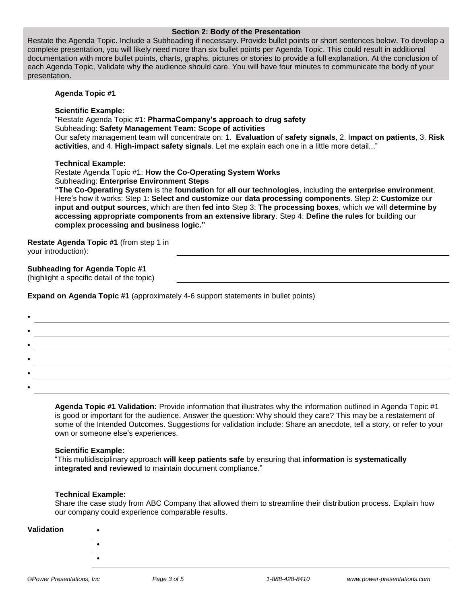### **Section 2: Body of the Presentation**

Restate the Agenda Topic. Include a Subheading if necessary. Provide bullet points or short sentences below. To develop a complete presentation, you will likely need more than six bullet points per Agenda Topic. This could result in additional documentation with more bullet points, charts, graphs, pictures or stories to provide a full explanation. At the conclusion of each Agenda Topic, Validate why the audience should care. You will have four minutes to communicate the body of your presentation.

## **Agenda Topic #1**

### **Scientific Example:**

"Restate Agenda Topic #1: **PharmaCompany's approach to drug safety** Subheading: **Safety Management Team: Scope of activities** Our safety management team will concentrate on: 1. **Evaluation** of **safety signals**, 2. I**mpact on patients**, 3. **Risk activities**, and 4. **High-impact safety signals**. Let me explain each one in a little more detail..."

### **Technical Example:**

Restate Agenda Topic #1: **How the Co-Operating System Works** Subheading: **Enterprise Environment Steps**

**"The Co-Operating System** is the **foundation** for **all our technologies**, including the **enterprise environment**. Here's how it works: Step 1: **Select and customize** our **data processing components**. Step 2: **Customize** our **input and output sources**, which are then **fed into** Step 3: **The processing boxes**, which we will **determine by accessing appropriate components from an extensive library**. Step 4: **Define the rules** for building our **complex processing and business logic."**

**Restate Agenda Topic #1** (from step 1 in your introduction):

# **Subheading for Agenda Topic #1**

(highlight a specific detail of the topic)

**Expand on Agenda Topic #1** (approximately 4-6 support statements in bullet points)

**Agenda Topic #1 Validation:** Provide information that illustrates why the information outlined in Agenda Topic #1 is good or important for the audience. Answer the question: Why should they care? This may be a restatement of some of the Intended Outcomes. Suggestions for validation include: Share an anecdote, tell a story, or refer to your own or someone else's experiences.

#### **Scientific Example:**

"This multidisciplinary approach **will keep patients safe** by ensuring that **information** is **systematically integrated and reviewed** to maintain document compliance."

## **Technical Example:**

Share the case study from ABC Company that allowed them to streamline their distribution process. Explain how our company could experience comparable results.

| Validation |  |
|------------|--|
|            |  |
|            |  |
|            |  |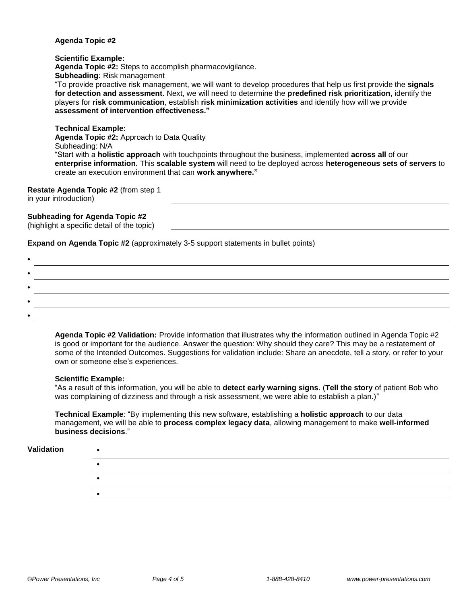## **Agenda Topic #2**

### **Scientific Example:**

**Agenda Topic #2:** Steps to accomplish pharmacovigilance.

**Subheading:** Risk management

"To provide proactive risk management, we will want to develop procedures that help us first provide the **signals for detection and assessment**. Next, we will need to determine the **predefined risk prioritization**, identify the players for **risk communication**, establish **risk minimization activities** and identify how will we provide **assessment of intervention effectiveness."**

## **Technical Example:**

**Agenda Topic #2:** Approach to Data Quality Subheading: N/A "Start with a **holistic approach** with touchpoints throughout the business, implemented **across all** of our **enterprise information.** This **scalable system** will need to be deployed across **heterogeneous sets of servers** to create an execution environment that can **work anywhere."**

## **Restate Agenda Topic #2** (from step 1

in your introduction)

# **Subheading for Agenda Topic #2**

| (highlight a specific detail of the topic) |  |  |
|--------------------------------------------|--|--|
|                                            |  |  |

**Expand on Agenda Topic #2** (approximately 3-5 support statements in bullet points)

**Agenda Topic #2 Validation:** Provide information that illustrates why the information outlined in Agenda Topic #2 is good or important for the audience. Answer the question: Why should they care? This may be a restatement of some of the Intended Outcomes. Suggestions for validation include: Share an anecdote, tell a story, or refer to your own or someone else's experiences.

## **Scientific Example:**

"As a result of this information, you will be able to **detect early warning signs**. (**Tell the story** of patient Bob who was complaining of dizziness and through a risk assessment, we were able to establish a plan.)"

**Technical Example**: "By implementing this new software, establishing a **holistic approach** to our data management, we will be able to **process complex legacy data**, allowing management to make **well-informed business decisions**."

## **Validation** •